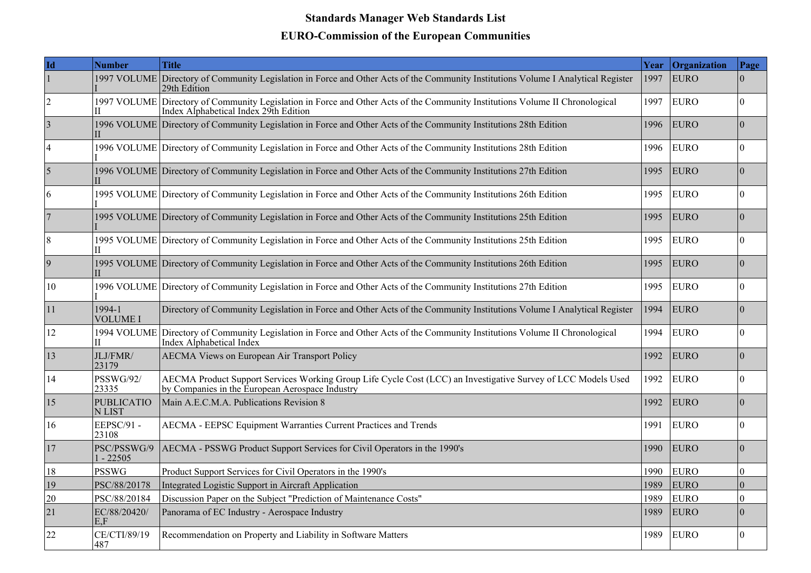## **Standards Manager Web Standards List EURO-Commission of the European Communities**

| Id              | <b>Number</b>               | <b>Title</b>                                                                                                                                                          | Year | Organization | Page             |
|-----------------|-----------------------------|-----------------------------------------------------------------------------------------------------------------------------------------------------------------------|------|--------------|------------------|
| $\vert$ 1       | 1997 VOLUME                 | Directory of Community Legislation in Force and Other Acts of the Community Institutions Volume I Analytical Register<br>29th Edition                                 | 1997 | EURO         | $\Omega$         |
| $\overline{2}$  |                             | 1997 VOLUME Directory of Community Legislation in Force and Other Acts of the Community Institutions Volume II Chronological<br>Index Alphabetical Index 29th Edition | 1997 | <b>EURO</b>  | $\theta$         |
| $\vert 3 \vert$ |                             | 1996 VOLUME Directory of Community Legislation in Force and Other Acts of the Community Institutions 28th Edition                                                     | 1996 | <b>EURO</b>  | $\Omega$         |
| $\overline{4}$  |                             | 1996 VOLUME Directory of Community Legislation in Force and Other Acts of the Community Institutions 28th Edition                                                     | 1996 | <b>EURO</b>  | $\mathbf{0}$     |
| $\overline{5}$  |                             | 1996 VOLUME Directory of Community Legislation in Force and Other Acts of the Community Institutions 27th Edition                                                     | 1995 | <b>EURO</b>  | $\Omega$         |
| 6               |                             | 1995 VOLUME Directory of Community Legislation in Force and Other Acts of the Community Institutions 26th Edition                                                     | 1995 | <b>EURO</b>  | $\mathbf{0}$     |
| 7               |                             | 1995 VOLUME Directory of Community Legislation in Force and Other Acts of the Community Institutions 25th Edition                                                     | 1995 | <b>EURO</b>  | $\theta$         |
| $\overline{8}$  |                             | 1995 VOLUME Directory of Community Legislation in Force and Other Acts of the Community Institutions 25th Edition                                                     | 1995 | <b>EURO</b>  | $\mathbf{0}$     |
| $\vert 9 \vert$ |                             | 1995 VOLUME Directory of Community Legislation in Force and Other Acts of the Community Institutions 26th Edition                                                     | 1995 | <b>EURO</b>  | $\theta$         |
| 10              |                             | 1996 VOLUME Directory of Community Legislation in Force and Other Acts of the Community Institutions 27th Edition                                                     | 1995 | <b>EURO</b>  | $\Omega$         |
| 11              | 1994-1<br><b>VOLUME I</b>   | Directory of Community Legislation in Force and Other Acts of the Community Institutions Volume I Analytical Register                                                 | 1994 | <b>EURO</b>  | $\mathbf{0}$     |
| 12              | H                           | 1994 VOLUME Directory of Community Legislation in Force and Other Acts of the Community Institutions Volume II Chronological<br>Index Alphabetical Index              | 1994 | <b>EURO</b>  | $\mathbf{0}$     |
| 13              | JLJ/FMR/<br>23179           | <b>AECMA Views on European Air Transport Policy</b>                                                                                                                   | 1992 | <b>EURO</b>  | $\overline{0}$   |
| 14              | <b>PSSWG/92/</b><br>23335   | AECMA Product Support Services Working Group Life Cycle Cost (LCC) an Investigative Survey of LCC Models Used<br>by Companies in the European Aerospace Industry      | 1992 | <b>EURO</b>  | $\mathbf{0}$     |
| <sup>15</sup>   | <b>PUBLICATIO</b><br>N LIST | Main A.E.C.M.A. Publications Revision 8                                                                                                                               | 1992 | <b>EURO</b>  | $\mathbf{0}$     |
| 16              | EEPSC/91 -<br>23108         | AECMA - EEPSC Equipment Warranties Current Practices and Trends                                                                                                       | 1991 | <b>EURO</b>  | $\overline{0}$   |
| 17              | PSC/PSSWG/9<br>$1 - 22505$  | AECMA - PSSWG Product Support Services for Civil Operators in the 1990's                                                                                              | 1990 | EURO         | $\theta$         |
| 18              | <b>PSSWG</b>                | Product Support Services for Civil Operators in the 1990's                                                                                                            | 1990 | <b>EURO</b>  | $\mathbf{0}$     |
| 19              | PSC/88/20178                | Integrated Logistic Support in Aircraft Application                                                                                                                   | 1989 | <b>EURO</b>  | $\mathbf{0}$     |
| 20              | PSC/88/20184                | Discussion Paper on the Subject "Prediction of Maintenance Costs"                                                                                                     | 1989 | <b>EURO</b>  | $\boldsymbol{0}$ |
| 21              | EC/88/20420/<br>E.F         | Panorama of EC Industry - Aerospace Industry                                                                                                                          | 1989 | <b>EURO</b>  | $\theta$         |
| 22              | CE/CTI/89/19<br>487         | Recommendation on Property and Liability in Software Matters                                                                                                          | 1989 | <b>EURO</b>  | $\overline{0}$   |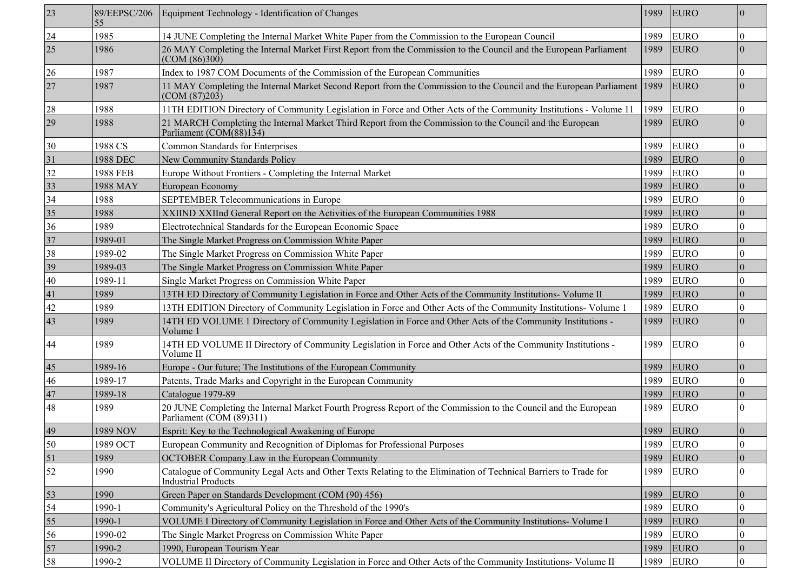| 23 | 89/EEPSC/206<br>55 | Equipment Technology - Identification of Changes                                                                                                     | 1989 | <b>EURO</b> | $\mathbf{0}$     |
|----|--------------------|------------------------------------------------------------------------------------------------------------------------------------------------------|------|-------------|------------------|
| 24 | 1985               | 14 JUNE Completing the Internal Market White Paper from the Commission to the European Council                                                       | 1989 | <b>EURO</b> | $\boldsymbol{0}$ |
| 25 | 1986               | 26 MAY Completing the Internal Market First Report from the Commission to the Council and the European Parliament<br>(COM (86)300)                   | 1989 | <b>EURO</b> | $\theta$         |
| 26 | 1987               | Index to 1987 COM Documents of the Commission of the European Communities                                                                            | 1989 | <b>EURO</b> | $\mathbf{0}$     |
| 27 | 1987               | 11 MAY Completing the Internal Market Second Report from the Commission to the Council and the European Parliament 1989<br>(COM (87)203)             |      | <b>EURO</b> | $\boldsymbol{0}$ |
| 28 | 1988               | 11 TH EDITION Directory of Community Legislation in Force and Other Acts of the Community Institutions - Volume 11                                   | 1989 | <b>EURO</b> | $\mathbf{0}$     |
| 29 | 1988               | 21 MARCH Completing the Internal Market Third Report from the Commission to the Council and the European<br>Parliament (COM(88)134)                  | 1989 | <b>EURO</b> | $\theta$         |
| 30 | 1988 CS            | <b>Common Standards for Enterprises</b>                                                                                                              | 1989 | <b>EURO</b> | $\mathbf{0}$     |
| 31 | 1988 DEC           | New Community Standards Policy                                                                                                                       | 1989 | <b>EURO</b> | $\theta$         |
| 32 | <b>1988 FEB</b>    | Europe Without Frontiers - Completing the Internal Market                                                                                            | 1989 | <b>EURO</b> | $\boldsymbol{0}$ |
| 33 | 1988 MAY           | European Economy                                                                                                                                     | 1989 | <b>EURO</b> | $\boldsymbol{0}$ |
| 34 | 1988               | SEPTEMBER Telecommunications in Europe                                                                                                               | 1989 | <b>EURO</b> | $\theta$         |
| 35 | 1988               | XXIIND XXIInd General Report on the Activities of the European Communities 1988                                                                      | 1989 | <b>EURO</b> | $\theta$         |
| 36 | 1989               | Electrotechnical Standards for the European Economic Space                                                                                           | 1989 | <b>EURO</b> | $\boldsymbol{0}$ |
| 37 | 1989-01            | The Single Market Progress on Commission White Paper                                                                                                 | 1989 | <b>EURO</b> | $\mathbf{0}$     |
| 38 | 1989-02            | The Single Market Progress on Commission White Paper                                                                                                 | 1989 | <b>EURO</b> | $\boldsymbol{0}$ |
| 39 | 1989-03            | The Single Market Progress on Commission White Paper                                                                                                 | 1989 | <b>EURO</b> | $\boldsymbol{0}$ |
| 40 | 1989-11            | Single Market Progress on Commission White Paper                                                                                                     | 1989 | <b>EURO</b> | $\mathbf{0}$     |
| 41 | 1989               | 13TH ED Directory of Community Legislation in Force and Other Acts of the Community Institutions- Volume II                                          | 1989 | <b>EURO</b> | $\theta$         |
| 42 | 1989               | 13TH EDITION Directory of Community Legislation in Force and Other Acts of the Community Institutions- Volume 1                                      | 1989 | <b>EURO</b> | $\boldsymbol{0}$ |
| 43 | 1989               | 14TH ED VOLUME 1 Directory of Community Legislation in Force and Other Acts of the Community Institutions -<br>Volume 1                              | 1989 | <b>EURO</b> | $\theta$         |
| 44 | 1989               | 14TH ED VOLUME II Directory of Community Legislation in Force and Other Acts of the Community Institutions -<br>Volume II                            | 1989 | <b>EURO</b> | $\theta$         |
| 45 | 1989-16            | Europe - Our future; The Institutions of the European Community                                                                                      | 1989 | <b>EURO</b> | $\boldsymbol{0}$ |
| 46 | 1989-17            | Patents, Trade Marks and Copyright in the European Community                                                                                         | 1989 | <b>EURO</b> | $\boldsymbol{0}$ |
| 47 | 1989-18            | Catalogue 1979-89                                                                                                                                    | 1989 | <b>EURO</b> | $\boldsymbol{0}$ |
| 48 | 1989               | 20 JUNE Completing the Internal Market Fourth Progress Report of the Commission to the Council and the European<br>Parliament ( $\angle$ OM (89)311) | 1989 | <b>EURO</b> | $\theta$         |
| 49 | 1989 NOV           | Esprit: Key to the Technological Awakening of Europe                                                                                                 | 1989 | EURO        | $\theta$         |
| 50 | 1989 OCT           | European Community and Recognition of Diplomas for Professional Purposes                                                                             | 1989 | <b>EURO</b> | $\boldsymbol{0}$ |
| 51 | 1989               | OCTOBER Company Law in the European Community                                                                                                        | 1989 | <b>EURO</b> | $\boldsymbol{0}$ |
| 52 | 1990               | Catalogue of Community Legal Acts and Other Texts Relating to the Elimination of Technical Barriers to Trade for<br><b>Industrial Products</b>       | 1989 | <b>EURO</b> | $\mathbf{0}$     |
| 53 | 1990               | Green Paper on Standards Development (COM (90) 456)                                                                                                  | 1989 | <b>EURO</b> | $\boldsymbol{0}$ |
| 54 | 1990-1             | Community's Agricultural Policy on the Threshold of the 1990's                                                                                       | 1989 | <b>EURO</b> | $\boldsymbol{0}$ |
| 55 | 1990-1             | VOLUME I Directory of Community Legislation in Force and Other Acts of the Community Institutions- Volume I                                          | 1989 | <b>EURO</b> | $\mathbf{0}$     |
| 56 | 1990-02            | The Single Market Progress on Commission White Paper                                                                                                 | 1989 | <b>EURO</b> | $\boldsymbol{0}$ |
| 57 | 1990-2             | 1990, European Tourism Year                                                                                                                          | 1989 | <b>EURO</b> | $\mathbf{0}$     |
| 58 | 1990-2             | VOLUME II Directory of Community Legislation in Force and Other Acts of the Community Institutions- Volume II                                        | 1989 | EURO        | $\vert 0 \vert$  |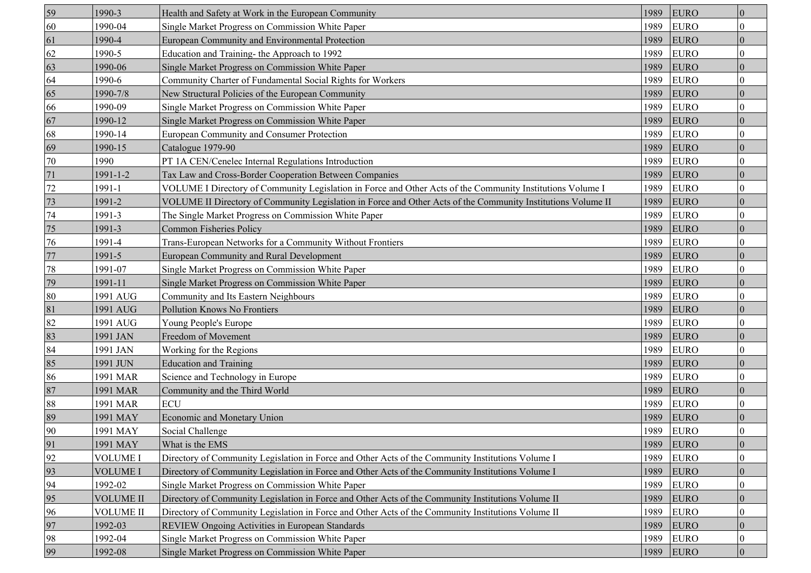| 59 | 1990-3           | Health and Safety at Work in the European Community                                                          | 1989 | <b>EURO</b> | $\boldsymbol{0}$ |
|----|------------------|--------------------------------------------------------------------------------------------------------------|------|-------------|------------------|
| 60 | 1990-04          | Single Market Progress on Commission White Paper                                                             | 1989 | <b>EURO</b> | 0                |
| 61 | 1990-4           | <b>European Community and Environmental Protection</b>                                                       | 1989 | <b>EURO</b> | $\theta$         |
| 62 | 1990-5           | Education and Training- the Approach to 1992                                                                 | 1989 | <b>EURO</b> | 0                |
| 63 | 1990-06          | Single Market Progress on Commission White Paper                                                             | 1989 | <b>EURO</b> | $\overline{0}$   |
| 64 | 1990-6           | Community Charter of Fundamental Social Rights for Workers                                                   | 1989 | <b>EURO</b> | 0                |
| 65 | 1990-7/8         | New Structural Policies of the European Community                                                            | 1989 | <b>EURO</b> | $\overline{0}$   |
| 66 | 1990-09          | Single Market Progress on Commission White Paper                                                             | 1989 | <b>EURO</b> | 0                |
| 67 | 1990-12          | Single Market Progress on Commission White Paper                                                             | 1989 | <b>EURO</b> | $\theta$         |
| 68 | 1990-14          | European Community and Consumer Protection                                                                   | 1989 | <b>EURO</b> | 0                |
| 69 | 1990-15          | Catalogue 1979-90                                                                                            | 1989 | <b>EURO</b> | $\overline{0}$   |
| 70 | 1990             | PT 1A CEN/Cenelec Internal Regulations Introduction                                                          | 1989 | <b>EURO</b> | 0                |
| 71 | 1991-1-2         | Tax Law and Cross-Border Cooperation Between Companies                                                       | 1989 | <b>EURO</b> | $\overline{0}$   |
| 72 | 1991-1           | VOLUME I Directory of Community Legislation in Force and Other Acts of the Community Institutions Volume I   | 1989 | <b>EURO</b> | 0                |
| 73 | 1991-2           | VOLUME II Directory of Community Legislation in Force and Other Acts of the Community Institutions Volume II | 1989 | <b>EURO</b> | $\Omega$         |
| 74 | 1991-3           | The Single Market Progress on Commission White Paper                                                         | 1989 | <b>EURO</b> | 0                |
| 75 | 1991-3           | <b>Common Fisheries Policy</b>                                                                               | 1989 | <b>EURO</b> | $\overline{0}$   |
| 76 | 1991-4           | Trans-European Networks for a Community Without Frontiers                                                    | 1989 | <b>EURO</b> | 0                |
| 77 | 1991-5           | European Community and Rural Development                                                                     | 1989 | <b>EURO</b> | $\overline{0}$   |
| 78 | 1991-07          | Single Market Progress on Commission White Paper                                                             | 1989 | <b>EURO</b> | 0                |
| 79 | 1991-11          | Single Market Progress on Commission White Paper                                                             | 1989 | <b>EURO</b> | $\theta$         |
| 80 | 1991 AUG         | Community and Its Eastern Neighbours                                                                         | 1989 | <b>EURO</b> | 0                |
| 81 | 1991 AUG         | Pollution Knows No Frontiers                                                                                 | 1989 | <b>EURO</b> | $\overline{0}$   |
| 82 | 1991 AUG         | Young People's Europe                                                                                        | 1989 | <b>EURO</b> | 0                |
| 83 | 1991 JAN         | Freedom of Movement                                                                                          | 1989 | <b>EURO</b> | $\theta$         |
| 84 | 1991 JAN         | Working for the Regions                                                                                      | 1989 | <b>EURO</b> | 0                |
| 85 | 1991 JUN         | <b>Education and Training</b>                                                                                | 1989 | <b>EURO</b> | $\theta$         |
| 86 | 1991 MAR         | Science and Technology in Europe                                                                             | 1989 | <b>EURO</b> | $\overline{0}$   |
| 87 | 1991 MAR         | Community and the Third World                                                                                | 1989 | <b>EURO</b> | $\overline{0}$   |
| 88 | 1991 MAR         | <b>ECU</b>                                                                                                   | 1989 | <b>EURO</b> | 0                |
| 89 | 1991 MAY         | Economic and Monetary Union                                                                                  | 1989 | <b>EURO</b> | $\overline{0}$   |
| 90 | 1991 MAY         | Social Challenge                                                                                             | 1989 | <b>EURO</b> | 0                |
| 91 | 1991 MAY         | What is the EMS                                                                                              | 1989 | <b>EURO</b> | $\overline{0}$   |
| 92 | <b>VOLUME I</b>  | Directory of Community Legislation in Force and Other Acts of the Community Institutions Volume I            | 1989 | <b>EURO</b> | 0                |
| 93 | <b>VOLUME I</b>  | Directory of Community Legislation in Force and Other Acts of the Community Institutions Volume I            | 1989 | <b>EURO</b> | $\theta$         |
| 94 | 1992-02          | Single Market Progress on Commission White Paper                                                             | 1989 | <b>EURO</b> | 0                |
| 95 | <b>VOLUME II</b> | Directory of Community Legislation in Force and Other Acts of the Community Institutions Volume II           | 1989 | <b>EURO</b> | $\Omega$         |
| 96 | <b>VOLUME II</b> | Directory of Community Legislation in Force and Other Acts of the Community Institutions Volume II           | 1989 | <b>EURO</b> | 0                |
| 97 | 1992-03          | REVIEW Ongoing Activities in European Standards                                                              | 1989 | <b>EURO</b> | $\overline{0}$   |
| 98 | 1992-04          | Single Market Progress on Commission White Paper                                                             | 1989 | <b>EURO</b> | 0                |
| 99 | 1992-08          | Single Market Progress on Commission White Paper                                                             | 1989 | <b>EURO</b> | $\boldsymbol{0}$ |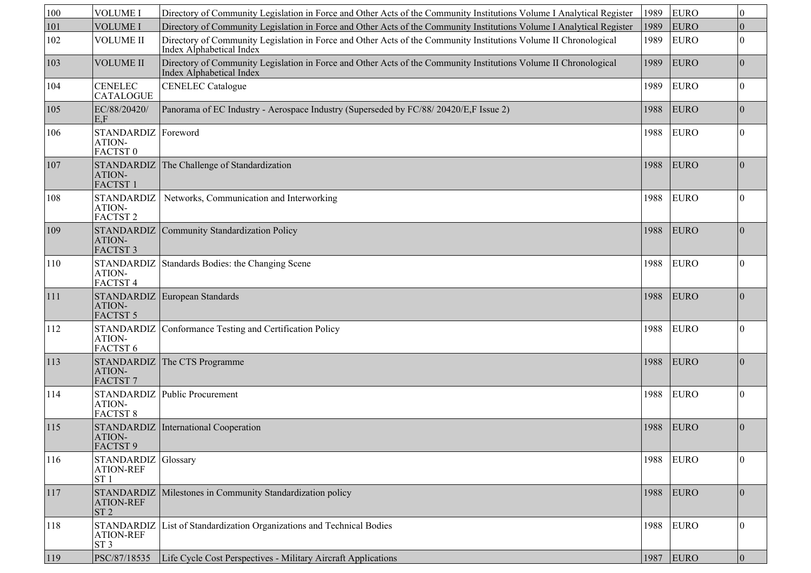| 100            | <b>VOLUME I</b>                                            | Directory of Community Legislation in Force and Other Acts of the Community Institutions Volume I Analytical Register                               | 1989 | <b>EURO</b> | $\boldsymbol{0}$ |
|----------------|------------------------------------------------------------|-----------------------------------------------------------------------------------------------------------------------------------------------------|------|-------------|------------------|
| 101            | <b>VOLUME I</b>                                            | Directory of Community Legislation in Force and Other Acts of the Community Institutions Volume I Analytical Register                               | 1989 | <b>EURO</b> | $\theta$         |
| 102            | VOLUME II                                                  | Directory of Community Legislation in Force and Other Acts of the Community Institutions Volume II Chronological<br>Index Alphabetical Index        | 1989 | <b>EURO</b> | $\theta$         |
| 103            | <b>VOLUME II</b>                                           | Directory of Community Legislation in Force and Other Acts of the Community Institutions Volume II Chronological<br><b>Index Alphabetical Index</b> | 1989 | <b>EURO</b> | $\mathbf{0}$     |
| 104            | <b>CENELEC</b><br><b>CATALOGUE</b>                         | <b>CENELEC</b> Catalogue                                                                                                                            | 1989 | <b>EURO</b> | $\theta$         |
| 105            | EC/88/20420/<br>E.F                                        | Panorama of EC Industry - Aerospace Industry (Superseded by FC/88/20420/E,F Issue 2)                                                                | 1988 | <b>EURO</b> | $\mathbf{0}$     |
| 106            | STANDARDIZ Foreword<br>ATION-<br>FACTST <sub>0</sub>       |                                                                                                                                                     | 1988 | <b>EURO</b> | $\theta$         |
| 107            | <b>STANDARDIZ</b><br>ATION-<br><b>FACTST1</b>              | The Challenge of Standardization                                                                                                                    | 1988 | <b>EURO</b> | $\overline{0}$   |
| 108            | <b>STANDARDIZ</b><br>ATION-<br>FACTST <sub>2</sub>         | Networks, Communication and Interworking                                                                                                            | 1988 | <b>EURO</b> | $\overline{0}$   |
| 109            | ATION-<br>FACTST <sub>3</sub>                              | STANDARDIZ Community Standardization Policy                                                                                                         | 1988 | <b>EURO</b> | $\overline{0}$   |
| 110            | <b>STANDARDIZ</b><br>ATION-<br>FACTST <sub>4</sub>         | Standards Bodies: the Changing Scene                                                                                                                | 1988 | <b>EURO</b> | $\Omega$         |
| 111            | <b>STANDARDIZ</b><br>ATION-<br>FACTST 5                    | European Standards                                                                                                                                  | 1988 | <b>EURO</b> | $\overline{0}$   |
| 112            | ATION-<br>FACTST <sub>6</sub>                              | STANDARDIZ Conformance Testing and Certification Policy                                                                                             | 1988 | <b>EURO</b> | $\theta$         |
| 113            | <b>STANDARDIZ</b><br>ATION-<br>FACTST <sub>7</sub>         | The CTS Programme                                                                                                                                   | 1988 | <b>EURO</b> | $\theta$         |
| 114            | <b>STANDARDIZ</b><br>ATION-<br><b>FACTST 8</b>             | Public Procurement                                                                                                                                  | 1988 | <b>EURO</b> | $\theta$         |
| 115            | ATION-<br>FACTST 9                                         | STANDARDIZ International Cooperation                                                                                                                | 1988 | <b>EURO</b> | $\mathbf{0}$     |
| <sup>116</sup> | STANDARDIZ Glossary<br><b>ATION-REF</b><br>ST <sub>1</sub> |                                                                                                                                                     | 1988 | <b>EURO</b> | $\overline{0}$   |
| 117            | <b>STANDARDIZ</b><br><b>ATION-REF</b><br>ST <sub>2</sub>   | Milestones in Community Standardization policy                                                                                                      | 1988 | EURO        | $\mathbf{0}$     |
| 118            | <b>STANDARDIZ</b><br><b>ATION-REF</b><br>ST <sub>3</sub>   | List of Standardization Organizations and Technical Bodies                                                                                          | 1988 | <b>EURO</b> | $\bf{0}$         |
| 119            | PSC/87/18535                                               | Life Cycle Cost Perspectives - Military Aircraft Applications                                                                                       | 1987 | EURO        | $\mathbf{0}$     |